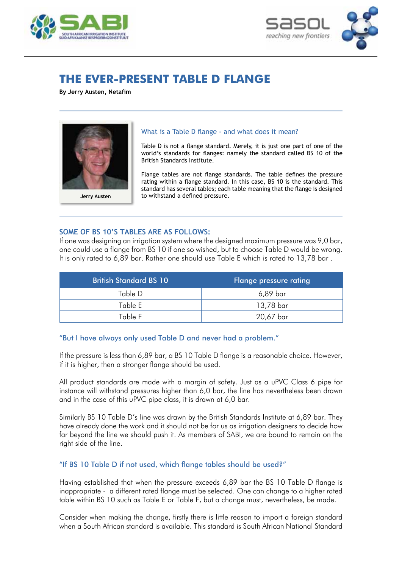



# **THE EVER-PRESENT TABLE D FLANGE**

**By Jerry Austen, Netafim**



#### What is a Table D flange - and what does it mean?

Table D is not a flange standard. Merely, it is just one part of one of the world's standards for flanges: namely the standard called BS 10 of the British Standards Institute.

Flange tables are not flange standards. The table defines the pressure rating within a flange standard. In this case, BS 10 is the standard. This standard has several tables; each table meaning that the flange is designed to withstand a defined pressure.

#### **Some of BS 10's tables are as follows:**

If one was designing an irrigation system where the designed maximum pressure was 9,0 bar, one could use a flange from BS 10 if one so wished, but to choose Table D would be wrong. It is only rated to 6,89 bar. Rather one should use Table E which is rated to 13,78 bar .

| <b>British Standard BS 10</b> | <b>Flange pressure rating</b> |
|-------------------------------|-------------------------------|
| Table D                       | 6,89 bar                      |
| Table E                       | 13,78 bar                     |
| Table F                       | 20,67 bar                     |

## "But I have always only used Table D and never had a problem."

If the pressure is less than 6,89 bar, a BS 10 Table D flange is a reasonable choice. However, if it is higher, then a stronger flange should be used.

All product standards are made with a margin of safety. Just as a uPVC Class 6 pipe for instance will withstand pressures higher than 6,0 bar, the line has nevertheless been drawn and in the case of this uPVC pipe class, it is drawn at 6,0 bar.

Similarly BS 10 Table D's line was drawn by the British Standards Institute at 6,89 bar. They have already done the work and it should not be for us as irrigation designers to decide how far beyond the line we should push it. As members of SABI, we are bound to remain on the right side of the line.

## "If BS 10 Table D if not used, which flange tables should be used?"

Having established that when the pressure exceeds 6,89 bar the BS 10 Table D flange is inappropriate - a different rated flange must be selected. One can change to a higher rated table within BS 10 such as Table E or Table F, but a change must, nevertheless, be made.

Consider when making the change, firstly there is little reason to import a foreign standard when a South African standard is available. This standard is South African National Standard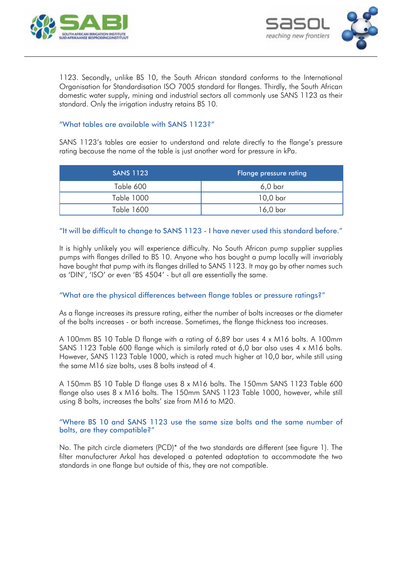



1123. Secondly, unlike BS 10, the South African standard conforms to the International Organisation for Standardisation ISO 7005 standard for flanges. Thirdly, the South African domestic water supply, mining and industrial sectors all commonly use SANS 1123 as their standard. Only the irrigation industry retains BS 10.

## "What tables are available with SANS 1123?"

SANS 1123's tables are easier to understand and relate directly to the flange's pressure rating because the name of the table is just another word for pressure in kPa.

| <b>SANS 1123</b> | <b>Flange pressure rating</b> |
|------------------|-------------------------------|
| Table 600        | 6,0 bar                       |
| Table 1000       | 10,0 bar                      |
| Table 1600       | 16,0 bar                      |

### "It will be difficult to change to SANS 1123 - I have never used this standard before."

It is highly unlikely you will experience difficulty. No South African pump supplier supplies pumps with flanges drilled to BS 10. Anyone who has bought a pump locally will invariably have bought that pump with its flanges drilled to SANS 1123. It may go by other names such as 'DIN', 'ISO' or even 'BS 4504' - but all are essentially the same.

## "What are the physical differences between flange tables or pressure ratings?"

As a flange increases its pressure rating, either the number of bolts increases or the diameter of the bolts increases - or both increase. Sometimes, the flange thickness too increases.

A 100mm BS 10 Table D flange with a rating of 6,89 bar uses 4 x M16 bolts. A 100mm SANS 1123 Table 600 flange which is similarly rated at 6,0 bar also uses 4 x M16 bolts. However, SANS 1123 Table 1000, which is rated much higher at 10,0 bar, while still using the same M16 size bolts, uses 8 bolts instead of 4.

A 150mm BS 10 Table D flange uses 8 x M16 bolts. The 150mm SANS 1123 Table 600 flange also uses 8 x M16 bolts. The 150mm SANS 1123 Table 1000, however, while still using 8 bolts, increases the bolts' size from M16 to M20.

### "Where BS 10 and SANS 1123 use the same size bolts and the same number of bolts, are they compatible?"

No. The pitch circle diameters (PCD)\* of the two standards are different (see figure 1). The filter manufacturer Arkal has developed a patented adaptation to accommodate the two standards in one flange but outside of this, they are not compatible.